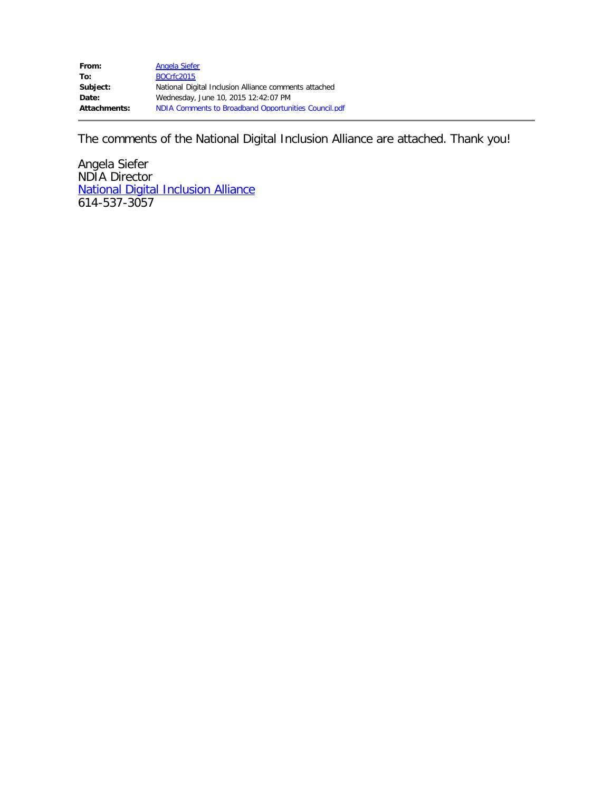The comments of the National Digital Inclusion Alliance are attached. Thank you!

Angela Siefer NDIA Director [National Digital Inclusion Alliance](http://digitalinclusionalliance.org/) 614-537-3057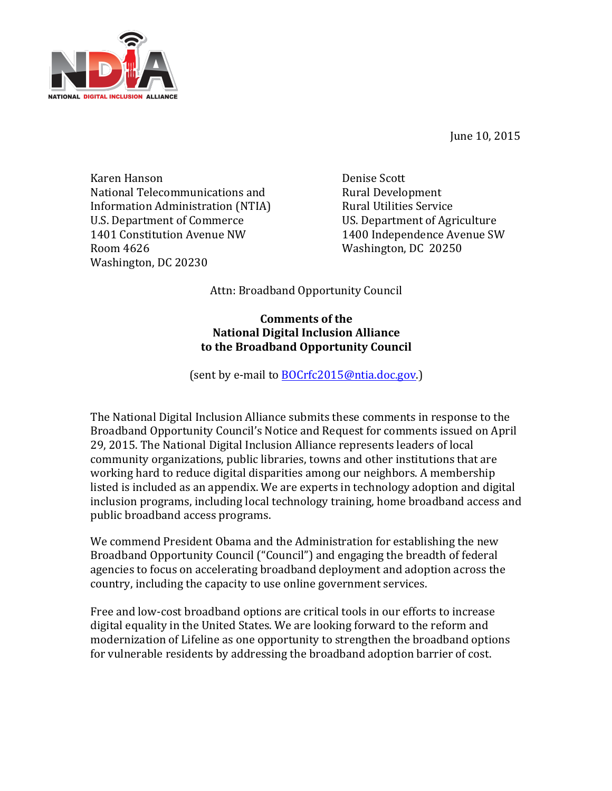June 10, 2015



Karen Hanson **Denise** Scott National Telecommunications and **Rural Development** Information Administration (NTIA) Rural Utilities Service U.S. Department of Commerce US. Department of Agriculture 1401 Constitution Avenue NW 1400 Independence Avenue SW Room 4626 Washington, DC 20250 Washington, DC 20230

Attn: Broadband Opportunity Council

## **Comments of the National Digital Inclusion Alliance** to the Broadband Opportunity Council

(sent by e-mail to **BOCrfc2015@ntia.doc.gov.**)

The National Digital Inclusion Alliance submits these comments in response to the Broadband Opportunity Council's Notice and Request for comments issued on April 29, 2015. The National Digital Inclusion Alliance represents leaders of local community organizations, public libraries, towns and other institutions that are working hard to reduce digital disparities among our neighbors. A membership listed is included as an appendix. We are experts in technology adoption and digital inclusion programs, including local technology training, home broadband access and public broadband access programs.

We commend President Obama and the Administration for establishing the new Broadband Opportunity Council ("Council") and engaging the breadth of federal agencies to focus on accelerating broadband deployment and adoption across the country, including the capacity to use online government services.

Free and low-cost broadband options are critical tools in our efforts to increase digital equality in the United States. We are looking forward to the reform and modernization of Lifeline as one opportunity to strengthen the broadband options for vulnerable residents by addressing the broadband adoption barrier of cost.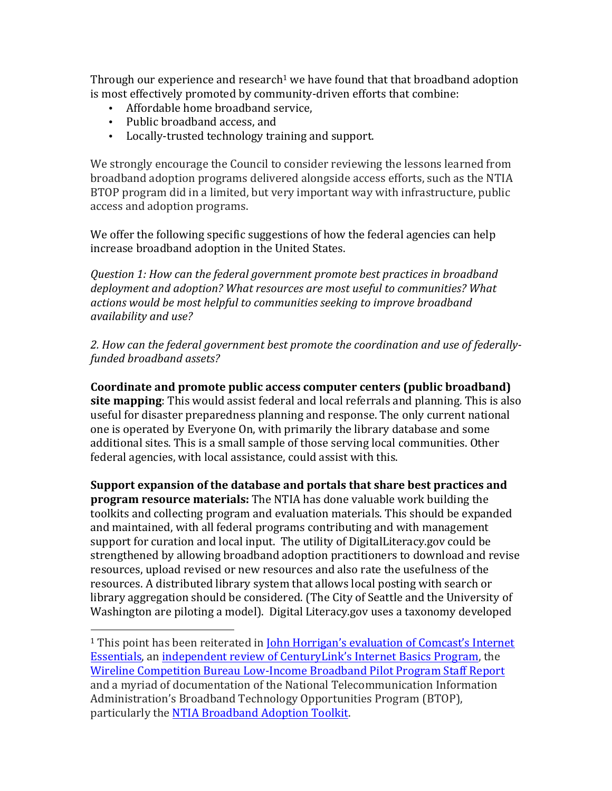Through our experience and research<sup>1</sup> we have found that that broadband adoption is most effectively promoted by community-driven efforts that combine:

- Affordable home broadband service,
- Public broadband access, and

 

• Locally-trusted technology training and support.

We strongly encourage the Council to consider reviewing the lessons learned from broadband adoption programs delivered alongside access efforts, such as the NTIA BTOP program did in a limited, but very important way with infrastructure, public access and adoption programs.

We offer the following specific suggestions of how the federal agencies can help increase broadband adoption in the United States.

*Question 1: How can the federal government promote best practices in broadband* deployment and adoption? What resources are most useful to communities? What actions would be most helpful to communities seeking to improve broadband availability and use?

2. How can the federal government best promote the coordination and use of federally*funded broadband assets?*

Coordinate and promote public access computer centers (public broadband) **site mapping**: This would assist federal and local referrals and planning. This is also useful for disaster preparedness planning and response. The only current national one is operated by Everyone On, with primarily the library database and some additional sites. This is a small sample of those serving local communities. Other federal agencies, with local assistance, could assist with this.

**Support expansion of the database and portals that share best practices and program resource materials:** The NTIA has done valuable work building the toolkits and collecting program and evaluation materials. This should be expanded and maintained, with all federal programs contributing and with management support for curation and local input. The utility of DigitalLiteracy.gov could be strengthened by allowing broadband adoption practitioners to download and revise resources, upload revised or new resources and also rate the usefulness of the resources. A distributed library system that allows local posting with search or library aggregation should be considered. (The City of Seattle and the University of Washington are piloting a model). Digital Literacy.gov uses a taxonomy developed

<sup>&</sup>lt;sup>1</sup> This point has been reiterated in **John Horrigan's evaluation of Comcast's Internet** Essentials, an independent review of CenturyLink's Internet Basics Program, the Wireline Competition Bureau Low-Income Broadband Pilot Program Staff Report and a myriad of documentation of the National Telecommunication Information Administration's Broadband Technology Opportunities Program (BTOP), particularly the NTIA Broadband Adoption Toolkit.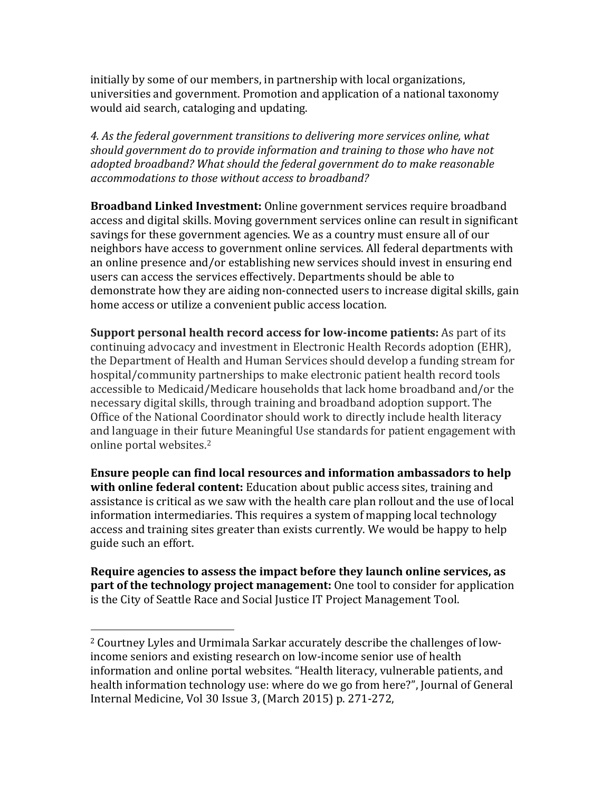initially by some of our members, in partnership with local organizations, universities and government. Promotion and application of a national taxonomy would aid search, cataloging and updating.

4. As the federal government transitions to delivering more services online, what *should government do to provide information and training to those who have not* adopted broadband? What should the federal government do to make reasonable *accommodations to those without access to broadband?* 

**Broadband Linked Investment:** Online government services require broadband access and digital skills. Moving government services online can result in significant savings for these government agencies. We as a country must ensure all of our neighbors have access to government online services. All federal departments with an online presence and/or establishing new services should invest in ensuring end users can access the services effectively. Departments should be able to demonstrate how they are aiding non-connected users to increase digital skills, gain home access or utilize a convenient public access location.

**Support personal health record access for low-income patients:** As part of its continuing advocacy and investment in Electronic Health Records adoption (EHR), the Department of Health and Human Services should develop a funding stream for hospital/community partnerships to make electronic patient health record tools accessible to Medicaid/Medicare households that lack home broadband and/or the necessary digital skills, through training and broadband adoption support. The Office of the National Coordinator should work to directly include health literacy and language in their future Meaningful Use standards for patient engagement with online portal websites.<sup>2</sup>

**Ensure people can find local resources and information ambassadors to help with online federal content:** Education about public access sites, training and assistance is critical as we saw with the health care plan rollout and the use of local information intermediaries. This requires a system of mapping local technology access and training sites greater than exists currently. We would be happy to help guide such an effort.

**Require agencies to assess the impact before they launch online services, as part of the technology project management:** One tool to consider for application is the City of Seattle Race and Social Justice IT Project Management Tool.

 

<sup>&</sup>lt;sup>2</sup> Courtney Lyles and Urmimala Sarkar accurately describe the challenges of lowincome seniors and existing research on low-income senior use of health information and online portal websites. "Health literacy, vulnerable patients, and health information technology use: where do we go from here?", Journal of General Internal Medicine, Vol 30 Issue 3, (March 2015) p. 271-272,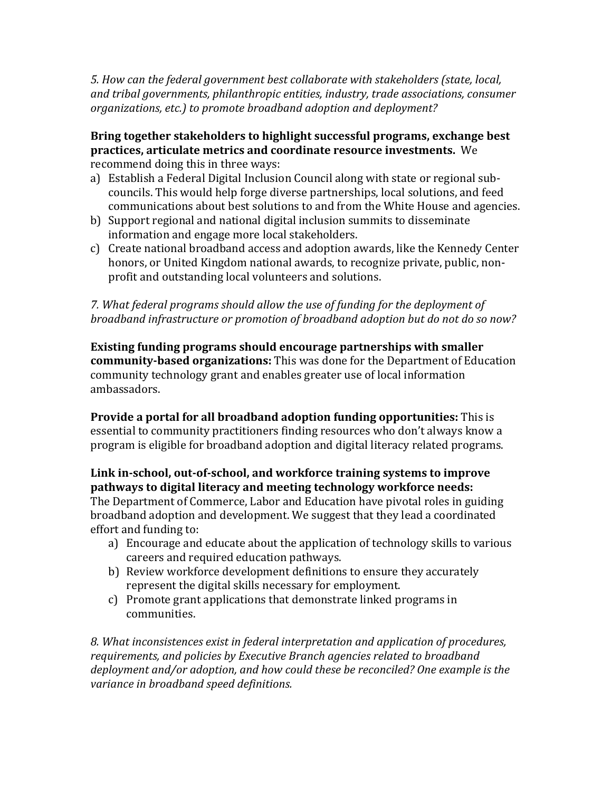*5. How can the federal government best collaborate with stakeholders (state, local,* and tribal governments, philanthropic entities, industry, trade associations, consumer organizations, etc.) to promote broadband adoption and deployment?

## **Bring together stakeholders to highlight successful programs, exchange best practices, articulate metrics and coordinate resource investments.** We recommend doing this in three ways:

- a) Establish a Federal Digital Inclusion Council along with state or regional subcouncils. This would help forge diverse partnerships, local solutions, and feed communications about best solutions to and from the White House and agencies.
- b) Support regional and national digital inclusion summits to disseminate information and engage more local stakeholders.
- c) Create national broadband access and adoption awards, like the Kennedy Center honors, or United Kingdom national awards, to recognize private, public, nonprofit and outstanding local volunteers and solutions.

7. What federal programs should allow the use of funding for the deployment of *broadband infrastructure or promotion of broadband adoption but do not do so now?* 

**Existing funding programs should encourage partnerships with smaller community-based organizations:** This was done for the Department of Education community technology grant and enables greater use of local information ambassadors. 

**Provide a portal for all broadband adoption funding opportunities:** This is essential to community practitioners finding resources who don't always know a program is eligible for broadband adoption and digital literacy related programs.

## Link in-school, out-of-school, and workforce training systems to improve **pathways to digital literacy and meeting technology workforce needs:**

The Department of Commerce, Labor and Education have pivotal roles in guiding broadband adoption and development. We suggest that they lead a coordinated effort and funding to:

- a) Encourage and educate about the application of technology skills to various careers and required education pathways.
- b) Review workforce development definitions to ensure they accurately represent the digital skills necessary for employment.
- c) Promote grant applications that demonstrate linked programs in communities.

8. What inconsistences exist in federal interpretation and application of procedures, *requirements, and policies by Executive Branch agencies related to broadband deployment and/or adoption, and how could these be reconciled? One example is the variance in broadband speed definitions.*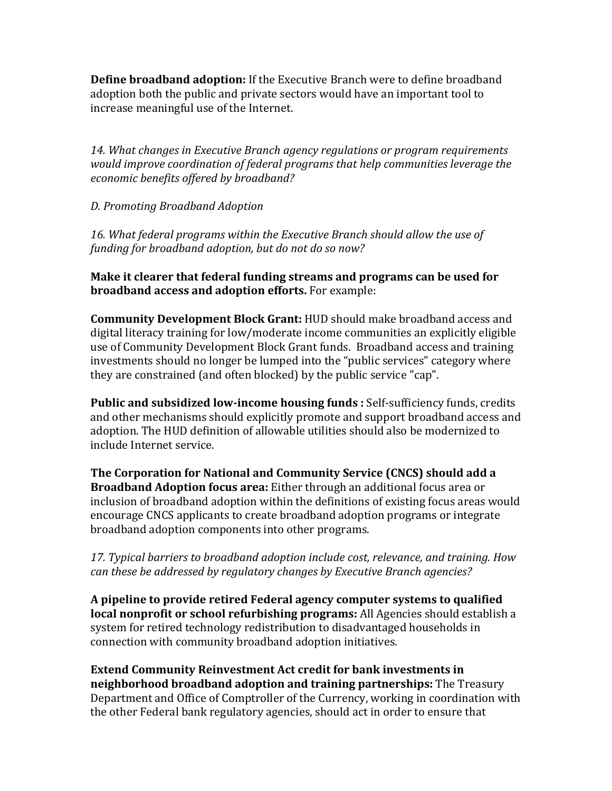**Define broadband adoption:** If the Executive Branch were to define broadband adoption both the public and private sectors would have an important tool to increase meaningful use of the Internet.

14. What changes in Executive Branch agency regulations or program requirements *would improve coordination of federal programs that help communities leverage the economic benefits offered by broadband?*

*D. Promoting Broadband Adoption*

16. What federal programs within the Executive Branch should allow the use of funding for broadband adoption, but do not do so now?

**Make it clearer that federal funding streams and programs can be used for broadband access and adoption efforts.** For example:

**Community Development Block Grant:** HUD should make broadband access and digital literacy training for low/moderate income communities an explicitly eligible use of Community Development Block Grant funds. Broadband access and training investments should no longer be lumped into the "public services" category where they are constrained (and often blocked) by the public service "cap".

**Public and subsidized low-income housing funds:** Self-sufficiency funds, credits and other mechanisms should explicitly promote and support broadband access and adoption. The HUD definition of allowable utilities should also be modernized to include Internet service.

**The Corporation for National and Community Service (CNCS) should add a Broadband Adoption focus area:** Either through an additional focus area or inclusion of broadband adoption within the definitions of existing focus areas would encourage CNCS applicants to create broadband adoption programs or integrate broadband adoption components into other programs.

17. Typical barriers to broadband adoption include cost, relevance, and training. How *can these be addressed by regulatory changes by Executive Branch agencies?* 

A pipeline to provide retired Federal agency computer systems to qualified **local nonprofit or school refurbishing programs:** All Agencies should establish a system for retired technology redistribution to disadvantaged households in connection with community broadband adoption initiatives.

**Extend Community Reinvestment Act credit for bank investments in neighborhood broadband adoption and training partnerships:** The Treasury Department and Office of Comptroller of the Currency, working in coordination with the other Federal bank regulatory agencies, should act in order to ensure that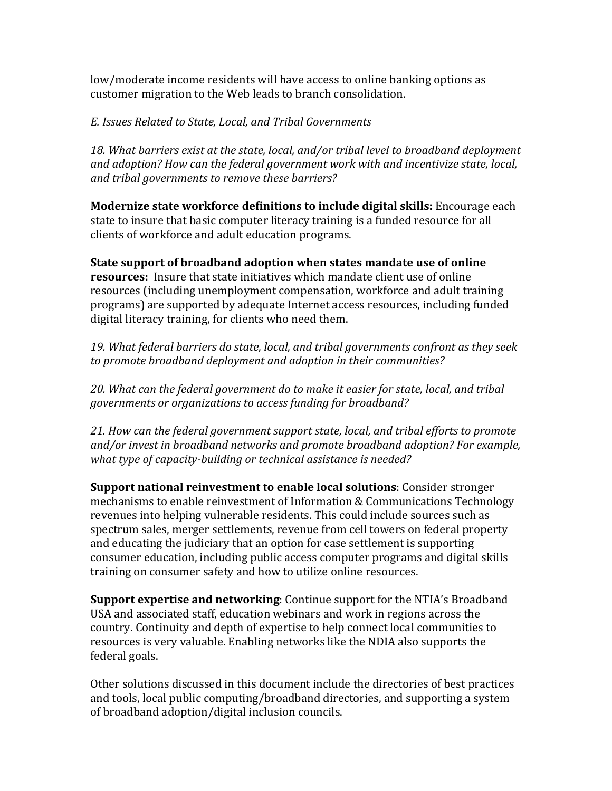low/moderate income residents will have access to online banking options as customer migration to the Web leads to branch consolidation.

## *E. Issues Related to State, Local, and Tribal Governments*

18. What barriers exist at the state, local, and/or tribal level to broadband deployment and adoption? How can the federal government work with and incentivize state, local, and tribal governments to remove these barriers?

**Modernize state workforce definitions to include digital skills:** Encourage each state to insure that basic computer literacy training is a funded resource for all clients of workforce and adult education programs.

**State support of broadband adoption when states mandate use of online resources:** Insure that state initiatives which mandate client use of online resources (including unemployment compensation, workforce and adult training programs) are supported by adequate Internet access resources, including funded digital literacy training, for clients who need them.

19. What federal barriers do state, local, and tribal governments confront as they seek to promote broadband deployment and adoption in their communities?

20. What can the federal government do to make it easier for state, local, and tribal *governments or organizations to access funding for broadband?* 

21. How can the federal government support state, local, and tribal efforts to promote and/or invest in broadband networks and promote broadband adoption? For example, *what type of capacity-building or technical assistance is needed?* 

**Support national reinvestment to enable local solutions**: Consider stronger mechanisms to enable reinvestment of Information & Communications Technology revenues into helping vulnerable residents. This could include sources such as spectrum sales, merger settlements, revenue from cell towers on federal property and educating the judiciary that an option for case settlement is supporting consumer education, including public access computer programs and digital skills training on consumer safety and how to utilize online resources.

**Support expertise and networking:** Continue support for the NTIA's Broadband USA and associated staff, education webinars and work in regions across the country. Continuity and depth of expertise to help connect local communities to resources is very valuable. Enabling networks like the NDIA also supports the federal goals.

Other solutions discussed in this document include the directories of best practices and tools, local public computing/broadband directories, and supporting a system of broadband adoption/digital inclusion councils.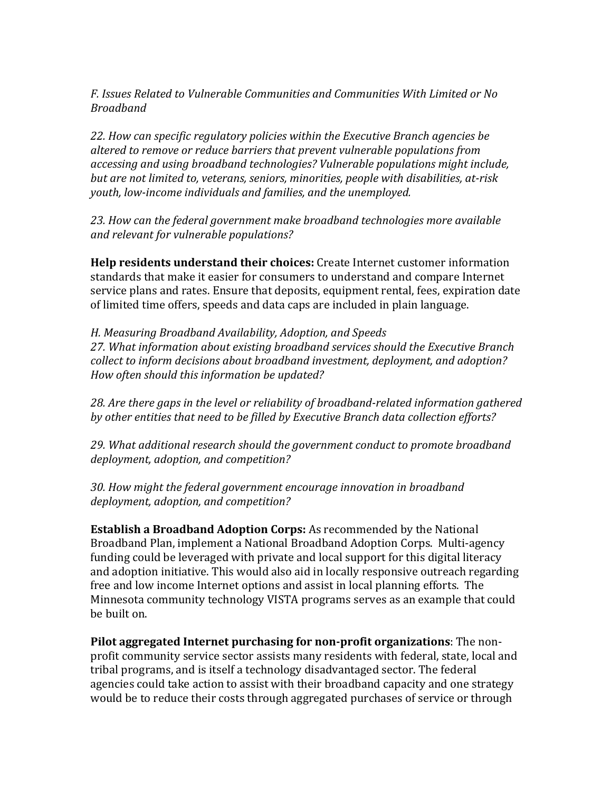*F. Issues Related to Vulnerable Communities and Communities With Limited or No Broadband*

22. How can specific regulatory policies within the Executive Branch agencies be *altered to remove or reduce barriers that prevent vulnerable populations from accessing and using broadband technologies?* Vulnerable populations might include, *but are not limited to, veterans, seniors, minorities, people with disabilities, at-risk youth, low-income individuals and families, and the unemployed.* 

23. How can the federal government make broadband technologies more available *and relevant for vulnerable populations?*

**Help residents understand their choices:** Create Internet customer information standards that make it easier for consumers to understand and compare Internet service plans and rates. Ensure that deposits, equipment rental, fees, expiration date of limited time offers, speeds and data caps are included in plain language.

*H. Measuring Broadband Availability, Adoption, and Speeds*  27. What information about existing broadband services should the Executive Branch *collect* to inform decisions about broadband investment, deployment, and adoption? *How often should this information be updated?* 

28. Are there gaps in the level or reliability of broadband-related information gathered by other entities that need to be filled by Executive Branch data collection efforts?

29. What additional research should the government conduct to promote broadband *deployment, adoption, and competition?*

30. How might the federal government encourage *innovation* in broadband *deployment, adoption, and competition?*

**Establish a Broadband Adoption Corps:** As recommended by the National Broadband Plan, implement a National Broadband Adoption Corps. Multi-agency funding could be leveraged with private and local support for this digital literacy and adoption initiative. This would also aid in locally responsive outreach regarding free and low income Internet options and assist in local planning efforts. The Minnesota community technology VISTA programs serves as an example that could be built on.

**Pilot aggregated Internet purchasing for non-profit organizations**: The nonprofit community service sector assists many residents with federal, state, local and tribal programs, and is itself a technology disadvantaged sector. The federal agencies could take action to assist with their broadband capacity and one strategy would be to reduce their costs through aggregated purchases of service or through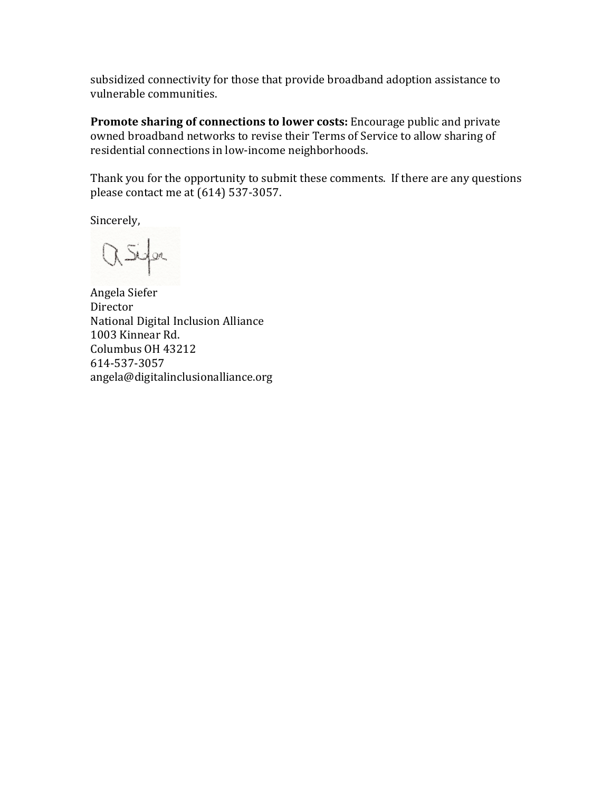subsidized connectivity for those that provide broadband adoption assistance to vulnerable communities.

**Promote sharing of connections to lower costs:** Encourage public and private owned broadband networks to revise their Terms of Service to allow sharing of residential connections in low-income neighborhoods.

Thank you for the opportunity to submit these comments. If there are any questions please contact me at  $(614)$  537-3057.

Sincerely,

asign

Angela Siefer Director National Digital Inclusion Alliance 1003 Kinnear Rd. Columbus OH 43212 614-537-3057 angela@digitalinclusionalliance.org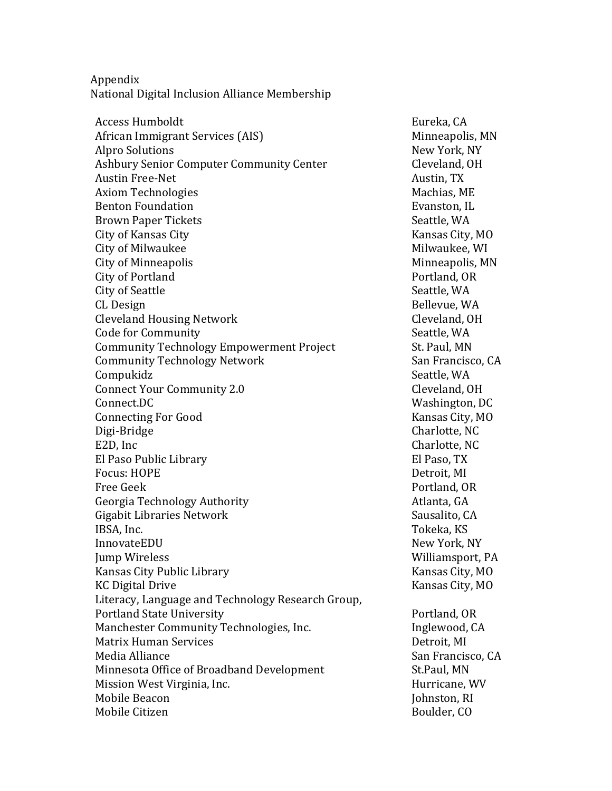Appendix National Digital Inclusion Alliance Membership

Access Humboldt and Eureka, CA African Immigrant Services (AIS) Minneapolis, MN Alpro Solutions New York, NY Ashbury Senior Computer Community Center Content Cleveland, OH Austin Free-Net Austin, TX Axiom Technologies **Machias, ME** Benton Foundation Brown Paper Tickets City of Kansas City **Kansas** City **Kansas** City, MO City of Milwaukee and Milwaukee, WI City of Minneapolis and Communication of Minneapolis, MN City of Portland and Portland, OR City of Seattle Seattle, WA CL Design Bellevue, WA Cleveland Housing Network Cleveland, OH Code for Community and Seattle, WA Community Technology Empowerment Project St. Paul, MN Community Technology Network San Francisco, CA Compukidz Seattle, WA Connect Your Community 2.0 Cleveland, OH Connect.DC Washington, DC Connecting For Good Kansas City, MO Digi-Bridge Charlotte, NC E2D, Inc Charlotte, NC El Paso Public Library **El Paso, TX** Focus: HOPE Detroit, MI Free Geek **Portland**, OR Georgia Technology Authority **Atlanta**, GA Gigabit Libraries Network **Sausalito**, CA **IBSA, Inc.** Tokeka, KS InnovateEDU New York, NY **Jump Wireless** Williamsport, PA Kansas City Public Library **Kansas** City, MO KC Digital Drive **Kansas** City, MO Literacy, Language and Technology Research Group, Portland State University **Properties and State University** Portland, OR Manchester Community Technologies, Inc. The Inglewood, CA Matrix Human Services and the services of the Detroit, MI Media Alliance San Francisco, CA Minnesota Office of Broadband Development St.Paul, MN Mission West Virginia, Inc. The Communist Control of Hurricane, WV Mobile Beacon **International Community** Community Community International Community Community International Community International Community International Community International Community International Community Internat Mobile Citizen Boulder, CO

Evanston, IL Seattle, WA